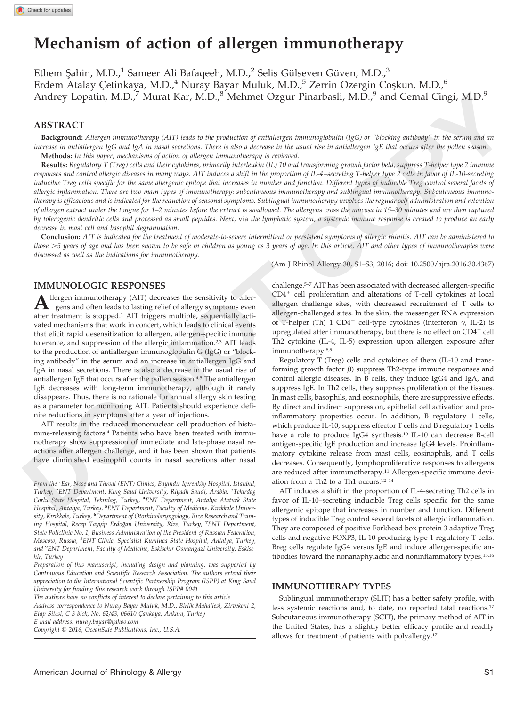# **Mechanism of action of allergen immunotherapy**

Ethem Sahin, M.D.,<sup>1</sup> Sameer Ali Bafaqeeh, M.D.,<sup>2</sup> Selis Gülseven Güven, M.D.,<sup>3</sup> Erdem Atalay Çetinkaya, M.D.,<sup>4</sup> Nuray Bayar Muluk, M.D.,<sup>5</sup> Zerrin Ozergin Coşkun, M.D.,<sup>6</sup> Andrey Lopatin, M.D.,<sup>7</sup> Murat Kar, M.D.,<sup>8</sup> Mehmet Ozgur Pinarbasli, M.D.,<sup>9</sup> and Cemal Cingi, M.D.<sup>9</sup>

## **ABSTRACT**

**Background:** *Allergen immunotherapy (AIT) leads to the production of antiallergen immunoglobulin (IgG) or "blocking antibody" in the serum and an increase in antiallergen IgG and IgA in nasal secretions. There is also a decrease in the usual rise in antiallergen IgE that occurs after the pollen season.* **Methods:** *In this paper, mechanisms of action of allergen immunotherapy is reviewed.*

**Results:** *Regulatory T (Treg) cells and their cytokines, primarily interleukin (IL) 10 and transforming growth factor beta, suppress T-helper type 2 immune responses and control allergic diseases in many ways. AIT induces a shift in the proportion of IL-4–secreting T-helper type 2 cells in favor of IL-10-secreting inducible Treg cells specific for the same allergenic epitope that increases in number and function. Different types of inducible Treg control several facets of allergic inflammation. There are two main types of immunotherapy: subcutaneous immunotherapy and sublingual immunotherapy. Subcutaneous immunotherapy is efficacious and is indicated for the reduction of seasonal symptoms. Sublingual immunotherapy involves the regular self-administration and retention of allergen extract under the tongue for 1–2 minutes before the extract is swallowed. The allergens cross the mucosa in 15–30 minutes and are then captured by tolerogenic dendritic cells and processed as small peptides. Next,* via *the lymphatic system, a systemic immune response is created to produce an early decrease in mast cell and basophil degranulation.* Andrey I opain, M.D.," Murat Kar, M.D.," Mehmet Ozgur Pinarhasii, M.D.," and Gemal Cingi, M.D."<br>
ABSTRACT in the constraint of the probability of multiplication of multiplication (see the size and<br>the constraint of the co

**Conclusion:** *AIT is indicated for the treatment of moderate-to-severe intermittent or persistent symptoms of allergic rhinitis. AIT can be administered to those* -*5 years of age and has been shown to be safe in children as young as 3 years of age. In this article, AIT and other types of immunotherapies were discussed as well as the indications for immunotherapy.*

(Am J Rhinol Allergy 30, S1–S3, 2016; doi: 10.2500/ajra.2016.30.4367)

# **IMMUNOLOGIC RESPONSES**

**A** llergen immunotherapy (AIT) decreases the sensitivity to aller-<br>gens and often leads to lasting relief of allergy symptoms even after treatment is stopped.1 AIT triggers multiple, sequentially activated mechanisms that work in concert, which leads to clinical events that elicit rapid desensitization to allergen, allergen-specific immune tolerance, and suppression of the allergic inflammation.<sup>2,3</sup> AIT leads to the production of antiallergen immunoglobulin G (IgG) or "blocking antibody" in the serum and an increase in antiallergen IgG and IgA in nasal secretions. There is also a decrease in the usual rise of antiallergen IgE that occurs after the pollen season.<sup>4,5</sup> The antiallergen IgE decreases with long-term immunotherapy, although it rarely disappears. Thus, there is no rationale for annual allergy skin testing as a parameter for monitoring AIT. Patients should experience definite reductions in symptoms after a year of injections.

AIT results in the reduced mononuclear cell production of histamine-releasing factors.4 Patients who have been treated with immunotherapy show suppression of immediate and late-phase nasal reactions after allergen challenge, and it has been shown that patients have diminished eosinophil counts in nasal secretions after nasal

From the <sup>1</sup>Ear, Nose and Throat (ENT) Clinics, Bayındır Içerenköy Hospital, Istanbul, *Turkey,* **<sup>2</sup>** *ENT Department, King Saud University, Riyadh-Saudi, Arabia, <sup>3</sup> Tekirdag Corlu State Hospital, Tekirdag, Turkey,* **<sup>4</sup>** *ENT Department, Antalya Ataturk State Hospital, Antalya, Turkey,* **<sup>5</sup>** *ENT Department, Faculty of Medicine, Kırıkkale University, Kırıkkale, Turkey,* **<sup>6</sup>** *Department of Otorhinolaryngology, Rize Research and Training Hospital, Recep Tayyip Erdog˘an University, Rize, Turkey,* **<sup>7</sup>** *ENT Department, State Policlinic No. 1, Business Administration of the President of Russian Federation, Moscow, Russia, <sup>8</sup> ENT Clinic, Specialist Kumluca State Hospital, Antalya, Turkey, and* **<sup>9</sup>** *ENT Department, Faculty of Medicine, Eskisehir Osmangazi University, Eskisehir, Turkey*

*Preparation of this manuscript, including design and planning, was supported by Continuous Education and Scientific Research Association. The authors extend their appreciation to the International Scientific Partnership Program (ISPP) at King Saud University for funding this research work through ISPP# 0041*

*The authors have no conflicts of interest to declare pertaining to this article Address correspondence to Nuray Bayar Muluk, M.D., Birlik Mahallesi, Zirvekent 2, Etap Sitesi, C-3 blok, No. 62/43, 06610 C¸ ankaya, Ankara, Turkey*

*Copyright* © *2016, OceanSide Publications, Inc., U.S.A.*

challenge.5–7 AIT has been associated with decreased allergen-specific  $CD4<sup>+</sup>$  cell proliferation and alterations of T-cell cytokines at local allergen challenge sites, with decreased recruitment of T cells to allergen-challenged sites. In the skin, the messenger RNA expression of T-helper (Th)  $1 \text{ CD4}^+$  cell-type cytokines (interferon  $\gamma$ , IL-2) is upregulated after immunotherapy, but there is no effect on  $CD4^+$  cell Th2 cytokine (IL-4, IL-5) expression upon allergen exposure after immunotherapy.8,9

Regulatory T (Treg) cells and cytokines of them (IL-10 and transforming growth factor  $\beta$ ) suppress Th2-type immune responses and control allergic diseases. In B cells, they induce IgG4 and IgA, and suppress IgE. In Th2 cells, they suppress proliferation of the tissues. In mast cells, basophils, and eosinophils, there are suppressive effects. By direct and indirect suppression, epithelial cell activation and proinflammatory properties occur. In addition, B regulatory 1 cells, which produce IL-10, suppress effector T cells and B regulatory 1 cells have a role to produce IgG4 synthesis.10 IL-10 can decrease B-cell antigen-specific IgE production and increase IgG4 levels. Proinflammatory cytokine release from mast cells, eosinophils, and T cells decreases. Consequently, lymphoproliferative responses to allergens are reduced after immunotherapy.11 Allergen-specific immune deviation from a Th2 to a Th1 occurs.12–14

AIT induces a shift in the proportion of IL-4-secreting Th2 cells in favor of IL-10–secreting inducible Treg cells specific for the same allergenic epitope that increases in number and function. Different types of inducible Treg control several facets of allergic inflammation. They are composed of positive Forkhead box protein 3 adaptive Treg cells and negative FOXP3, IL-10-producing type 1 regulatory T cells. Breg cells regulate IgG4 versus IgE and induce allergen-specific antibodies toward the nonanaphylactic and noninflammatory types.<sup>15,16</sup>

#### **IMMUNOTHERAPY TYPES**

Sublingual immunotherapy (SLIT) has a better safety profile, with less systemic reactions and, to date, no reported fatal reactions.17 Subcutaneous immunotherapy (SCIT), the primary method of AIT in the United States, has a slightly better efficacy profile and readily allows for treatment of patients with polyallergy.17

*E-mail address: nuray.bayar@yahoo.com*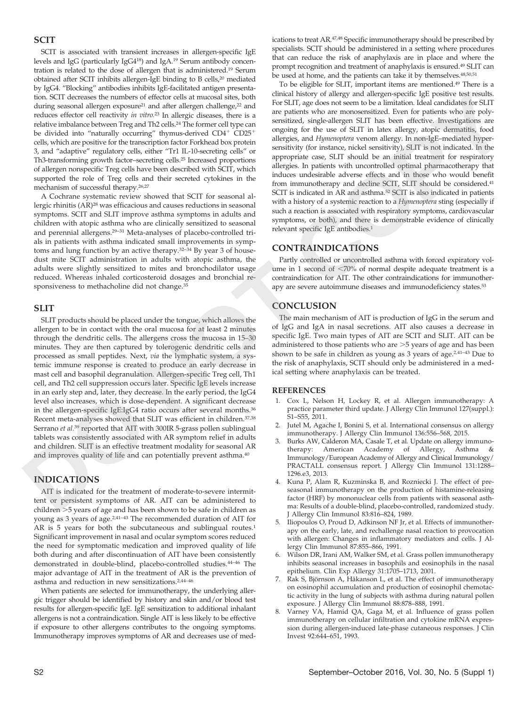## **SCIT**

SCIT is associated with transient increases in allergen-specific IgE levels and IgG (particularly IgG418) and IgA.19 Serum antibody concentration is related to the dose of allergen that is administered.19 Serum obtained after SCIT inhibits allergen-IgE binding to B cells,20 mediated by IgG4. "Blocking" antibodies inhibits IgE-facilitated antigen presentation. SCIT decreases the numbers of effector cells at mucosal sites, both during seasonal allergen exposure<sup>21</sup> and after allergen challenge,<sup>22</sup> and reduces effector cell reactivity *in vitro.*<sup>23</sup> In allergic diseases, there is a relative imbalance between Treg and Th2 cells.24 The former cell type can be divided into "naturally occurring" thymus-derived  $CD4^+$   $CD25^+$ cells, which are positive for the transcription factor Forkhead box protein 3, and "adaptive" regulatory cells, either "Tr1 IL-10-secreting cells" or Th3-transforming growth factor–secreting cells.25 Increased proportions of allergen nonspecific Treg cells have been described with SCIT, which supported the role of Treg cells and their secreted cytokines in the mechanism of successful therapy.26,27

A Cochrane systematic review showed that SCIT for seasonal allergic rhinitis (AR)28 was efficacious and causes reductions in seasonal symptoms. SCIT and SLIT improve asthma symptoms in adults and children with atopic asthma who are clinically sensitized to seasonal and perennial allergens.29–31 Meta-analyses of placebo-controlled trials in patients with asthma indicated small improvements in symptoms and lung function by an active therapy.32–34 By year 3 of housedust mite SCIT administration in adults with atopic asthma, the adults were slightly sensitized to mites and bronchodilator usage reduced. Whereas inhaled corticosteroid dosages and bronchial responsiveness to methacholine did not change.35

## **SLIT**

SLIT products should be placed under the tongue, which allows the allergen to be in contact with the oral mucosa for at least 2 minutes through the dendritic cells. The allergens cross the mucosa in 15–30 minutes. They are then captured by tolerogenic dendritic cells and processed as small peptides. Next, *via* the lymphatic system, a systemic immune response is created to produce an early decrease in mast cell and basophil degranulation. Allergen-specific Treg cell, Th1 cell, and Th2 cell suppression occurs later. Specific IgE levels increase in an early step and, later, they decrease. In the early period, the IgG4 level also increases, which is dose-dependent. A significant decrease in the allergen-specific IgE:IgG4 ratio occurs after several months.36 Recent meta-analyses showed that SLIT was efficient in children.37,38 Serrano *et al.*<sup>39</sup> reported that AIT with 300IR 5-grass pollen sublingual tablets was consistently associated with AR symptom relief in adults and children. SLIT is an effective treatment modality for seasonal AR and improves quality of life and can potentially prevent asthma.40 The SCI becomes the matcher of the state of all arguments can be the state interest of a state interest interest in the state of the state interest interest in the state of the state interest in the state of the state of

## **INDICATIONS**

AIT is indicated for the treatment of moderate-to-severe intermittent or persistent symptoms of AR. AIT can be administered to children -5 years of age and has been shown to be safe in children as young as 3 years of age.2,41–43 The recommended duration of AIT for AR is 5 years for both the subcutaneous and sublingual routes.<sup>1</sup> Significant improvement in nasal and ocular symptom scores reduced the need for symptomatic medication and improved quality of life both during and after discontinuation of AIT have been consistently demonstrated in double-blind, placebo-controlled studies.44–46 The major advantage of AIT in the treatment of AR is the prevention of asthma and reduction in new sensitizations.2,44–46

When patients are selected for immunotherapy, the underlying allergic trigger should be identified by history and skin and/or blood test results for allergen-specific IgE. IgE sensitization to additional inhalant allergens is not a contraindication. Single AIT is less likely to be effective if exposure to other allergens contributes to the ongoing symptoms. Immunotherapy improves symptoms of AR and decreases use of medications to treat AR.47,48 Specific immunotherapy should be prescribed by specialists. SCIT should be administered in a setting where procedures that can reduce the risk of anaphylaxis are in place and where the prompt recognition and treatment of anaphylaxis is ensured.<sup>49</sup> SLIT can be used at home, and the patients can take it by themselves.<sup>48,50,51</sup>

To be eligible for SLIT, important items are mentioned.49 There is a clinical history of allergy and allergen-specific IgE positive test results. For SLIT, age does not seem to be a limitation. Ideal candidates for SLIT are patients who are monosensitized. Even for patients who are polysensitized, single-allergen SLIT has been effective. Investigations are ongoing for the use of SLIT in latex allergy, atopic dermatitis, food allergies, and *Hymenoptera* venom allergy. In non-IgE–mediated hypersensitivity (for instance, nickel sensitivity), SLIT is not indicated. In the appropriate case, SLIT should be an initial treatment for respiratory allergies. In patients with uncontrolled optimal pharmacotherapy that induces undesirable adverse effects and in those who would benefit from immunotherapy and decline SCIT, SLIT should be considered.41 SCIT is indicated in AR and asthma.<sup>52</sup> SCIT is also indicated in patients with a history of a systemic reaction to a *Hymenoptera* sting (especially if such a reaction is associated with respiratory symptoms, cardiovascular symptoms, or both), and there is demonstrable evidence of clinically relevant specific IgE antibodies.1

## **CONTRAINDICATIONS**

Partly controlled or uncontrolled asthma with forced expiratory volume in 1 second of  $< 70\%$  of normal despite adequate treatment is a contraindication for AIT. The other contraindications for immunotherapy are severe autoimmune diseases and immunodeficiency states.53

#### **CONCLUSION**

The main mechanism of AIT is production of IgG in the serum and of IgG and IgA in nasal secretions. AIT also causes a decrease in specific IgE. Two main types of AIT are SCIT and SLIT. AIT can be administered to those patients who are  $>$ 5 years of age and has been shown to be safe in children as young as 3 years of age.<sup>2,41-43</sup> Due to the risk of anaphylaxis, SCIT should only be administered in a medical setting where anaphylaxis can be treated.

#### **REFERENCES**

- 1. Cox L, Nelson H, Lockey R, et al. Allergen immunotherapy: A practice parameter third update. J Allergy Clin Immunol 127(suppl.): S1–S55, 2011.
- 2. Jutel M, Agache I, Bonini S, et al. International consensus on allergy immunotherapy. J Allergy Clin Immunol 136:556–568, 2015.
- Burks AW, Calderon MA, Casale T, et al. Update on allergy immunotherapy: American Academy of Allergy, Asthma & Immunology/European Academy of Allergy and Clinical Immunology/ PRACTALL consensus report. J Allergy Clin Immunol 131:1288– 1296.e3, 2013.
- 4. Kuna P, Alam R, Kuzminska B, and Rozniecki J. The effect of preseasonal immunotherapy on the production of histamine-releasing factor (HRF) by mononuclear cells from patients with seasonal asthma: Results of a double-blind, placebo-controlled, randomized study. J Allergy Clin Immunol 83:816–824, 1989.
- 5. Iliopoulos O, Proud D, Adkinson NF Jr, et al. Effects of immunotherapy on the early, late, and rechallenge nasal reaction to provocation with allergen: Changes in inflammatory mediators and cells. J Allergy Clin Immunol 87:855–866, 1991.
- Wilson DR, Irani AM, Walker SM, et al. Grass pollen immunotherapy inhibits seasonal increases in basophils and eosinophils in the nasal epithelium. Clin Exp Allergy 31:1705–1713, 2001.
- 7. Rak S, Björnson A, Håkanson L, et al. The effect of immunotherapy on eosinophil accumulation and production of eosinophil chemotactic activity in the lung of subjects with asthma during natural pollen exposure. J Allergy Clin Immunol 88:878–888, 1991.
- Varney VA, Hamid QA, Gaga M, et al. Influence of grass pollen immunotherapy on cellular infiltration and cytokine mRNA expression during allergen-induced late-phase cutaneous responses. J Clin Invest 92:644–651, 1993.